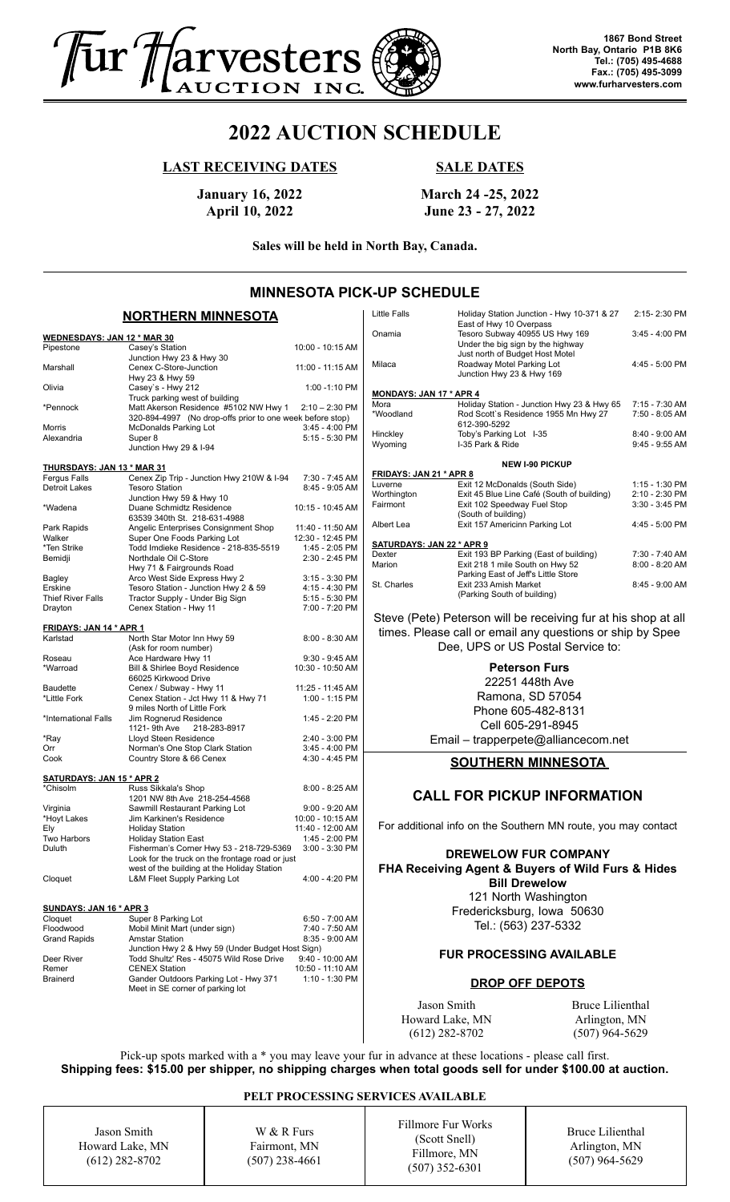

# **2022 AUCTION SCHEDULE**

### **LAST RECEIVING DATES**

## **SALE DATES**

**January 16, 2022 April 10, 2022**

**March 24 -25, 2022 June 23 - 27, 2022**

**Sales will be held in North Bay, Canada.**

# **MINNESOTA PICK-UP SCHEDULE**

#### **NORTHERN MINNESOTA**

| <u> WEDNESDAYS: JAN 12 * MAR 30</u>              |                                                           |                  |  |
|--------------------------------------------------|-----------------------------------------------------------|------------------|--|
| Pipestone                                        | Casey's Station                                           | 10:00 - 10:15 AM |  |
|                                                  | Junction Hwy 23 & Hwy 30                                  |                  |  |
|                                                  |                                                           |                  |  |
| Marshall                                         | Cenex C-Store-Junction                                    | 11:00 - 11:15 AM |  |
|                                                  | Hwy 23 & Hwy 59                                           |                  |  |
| Olivia                                           | Casey's - Hwy 212                                         | 1:00 -1:10 PM    |  |
|                                                  | Truck parking west of building                            |                  |  |
| *Pennock                                         | Matt Akerson Residence #5102 NW Hwy 1                     | $2:10 - 2:30$ PM |  |
|                                                  | 320-894-4997 (No drop-offs prior to one week before stop) |                  |  |
|                                                  |                                                           |                  |  |
| Morris                                           | <b>McDonalds Parking Lot</b>                              | 3:45 - 4:00 PM   |  |
| Alexandria                                       | Super 8                                                   | 5:15 - 5:30 PM   |  |
|                                                  | Junction Hwy 29 & I-94                                    |                  |  |
|                                                  |                                                           |                  |  |
| <u> THURSDAYS: JAN 13 * MAR 31</u>               |                                                           |                  |  |
| Fergus Falls                                     | Cenex Zip Trip - Junction Hwy 210W & I-94                 | 7:30 - 7:45 AM   |  |
| Detroit Lakes                                    | <b>Tesoro Station</b>                                     | 8:45 - 9:05 AM   |  |
|                                                  |                                                           |                  |  |
|                                                  | Junction Hwy 59 & Hwy 10                                  |                  |  |
| *Wadena                                          | Duane Schmidtz Residence                                  | 10:15 - 10:45 AM |  |
|                                                  | 63539 340th St. 218-631-4988                              |                  |  |
| Park Rapids                                      | Angelic Enterprises Consignment Shop                      | 11:40 - 11:50 AM |  |
| Walker                                           | Super One Foods Parking Lot                               | 12:30 - 12:45 PM |  |
| *Ten Strike                                      | Todd Imdieke Residence - 218-835-5519                     | 1:45 - 2:05 PM   |  |
|                                                  |                                                           |                  |  |
| Bemidji                                          | Northdale Oil C-Store                                     | 2:30 - 2:45 PM   |  |
|                                                  | Hwy 71 & Fairgrounds Road                                 |                  |  |
| Bagley                                           | Arco West Side Express Hwy 2                              | $3:15 - 3:30$ PM |  |
| Erskine                                          | Tesoro Station - Junction Hwy 2 & 59                      | 4:15 - 4:30 PM   |  |
| <b>Thief River Falls</b>                         | Tractor Supply - Under Big Sign                           | 5:15 - 5:30 PM   |  |
|                                                  |                                                           |                  |  |
| Drayton                                          | Cenex Station - Hwy 11                                    | 7:00 - 7:20 PM   |  |
|                                                  |                                                           |                  |  |
| <u>FRIDAYS: JAN 14 * APR 1</u>                   |                                                           |                  |  |
| Karlstad                                         | North Star Motor Inn Hwy 59                               | $8:00 - 8:30$ AM |  |
|                                                  | (Ask for room number)                                     |                  |  |
| Roseau                                           | Ace Hardware Hwy 11                                       | $9:30 - 9:45$ AM |  |
| *Warroad                                         | Bill & Shirlee Boyd Residence                             | 10:30 - 10:50 AM |  |
|                                                  |                                                           |                  |  |
|                                                  | 66025 Kirkwood Drive                                      |                  |  |
| <b>Baudette</b>                                  | Cenex / Subway - Hwy 11                                   | 11:25 - 11:45 AM |  |
| *Little Fork                                     | Cenex Station - Jct Hwy 11 & Hwy 71                       | 1:00 - 1:15 PM   |  |
|                                                  | 9 miles North of Little Fork                              |                  |  |
| *International Falls                             | Jim Rognerud Residence                                    | 1:45 - 2:20 PM   |  |
|                                                  | 1121- 9th Ave<br>218-283-8917                             |                  |  |
|                                                  |                                                           |                  |  |
| *Ray                                             | Lloyd Steen Residence                                     | 2:40 - 3:00 PM   |  |
| Orr                                              | Norman's One Stop Clark Station                           | 3:45 - 4:00 PM   |  |
| Cook                                             | Country Store & 66 Cenex                                  | 4:30 - 4:45 PM   |  |
|                                                  |                                                           |                  |  |
| <u>SATURDAYS: JAN 15 * APR 2</u>                 |                                                           |                  |  |
| *Chisolm                                         | Russ Sikkala's Shop                                       | $8:00 - 8:25$ AM |  |
|                                                  | 1201 NW 8th Ave 218-254-4568                              |                  |  |
|                                                  |                                                           |                  |  |
| Virginia                                         | Sawmill Restaurant Parking Lot                            | $9:00 - 9:20$ AM |  |
| *Hoyt Lakes                                      | Jim Karkinen's Residence                                  | 10:00 - 10:15 AM |  |
| Ely                                              | <b>Holiday Station</b>                                    | 11:40 - 12:00 AM |  |
| Two Harbors                                      | <b>Holiday Station East</b>                               | 1:45 - 2:00 PM   |  |
| Duluth                                           | Fisherman's Corner Hwy 53 - 218-729-5369                  | 3:00 - 3:30 PM   |  |
|                                                  |                                                           |                  |  |
|                                                  | Look for the truck on the frontage road or just           |                  |  |
|                                                  | west of the building at the Holiday Station               |                  |  |
| Cloquet                                          | L&M Fleet Supply Parking Lot                              | 4:00 - 4:20 PM   |  |
|                                                  |                                                           |                  |  |
|                                                  |                                                           |                  |  |
| <u>SUNDAYS: JAN 16 * APR 3</u>                   |                                                           |                  |  |
| Cloquet                                          | Super 8 Parking Lot                                       | 6:50 - 7:00 AM   |  |
| Floodwood                                        | Mobil Minit Mart (under sign)                             | 7:40 - 7:50 AM   |  |
|                                                  | <b>Amstar Station</b>                                     |                  |  |
| <b>Grand Rapids</b>                              |                                                           | 8:35 - 9:00 AM   |  |
| Junction Hwy 2 & Hwy 59 (Under Budget Host Sign) |                                                           |                  |  |
| Deer River                                       | Todd Shultz' Res - 45075 Wild Rose Drive                  | 9:40 - 10:00 AM  |  |
| Remer                                            | <b>CENEX Station</b>                                      | 10:50 - 11:10 AM |  |
| Brainerd                                         | Gander Outdoors Parking Lot - Hwy 371                     | 1:10 - 1:30 PM   |  |
|                                                  | Meet in SE corner of parking lot                          |                  |  |
|                                                  |                                                           |                  |  |
|                                                  |                                                           |                  |  |
|                                                  |                                                           |                  |  |

|                                                               | UNUL JUNEDULE                                                  |                                                                           |                  |  |  |  |
|---------------------------------------------------------------|----------------------------------------------------------------|---------------------------------------------------------------------------|------------------|--|--|--|
|                                                               | Little Falls                                                   | Holiday Station Junction - Hwy 10-371 & 27                                | 2:15-2:30 PM     |  |  |  |
|                                                               | Onamia                                                         | East of Hwy 10 Overpass<br>Tesoro Subway 40955 US Hwy 169                 | 3:45 - 4:00 PM   |  |  |  |
|                                                               |                                                                | Under the big sign by the highway                                         |                  |  |  |  |
|                                                               | Milaca                                                         | Just north of Budget Host Motel<br>Roadway Motel Parking Lot              | 4:45 - 5:00 PM   |  |  |  |
|                                                               |                                                                | Junction Hwy 23 & Hwy 169                                                 |                  |  |  |  |
|                                                               | <b>MONDAYS: JAN 17 * APR 4</b>                                 |                                                                           |                  |  |  |  |
|                                                               | Mora                                                           | Holiday Station - Junction Hwy 23 & Hwy 65                                | 7:15 - 7:30 AM   |  |  |  |
|                                                               | *Woodland                                                      | Rod Scott's Residence 1955 Mn Hwy 27<br>612-390-5292                      | 7:50 - 8:05 AM   |  |  |  |
|                                                               | Hinckley                                                       | Toby's Parking Lot I-35                                                   | 8:40 - 9:00 AM   |  |  |  |
|                                                               | Wyoming                                                        | I-35 Park & Ride                                                          | $9:45 - 9:55$ AM |  |  |  |
|                                                               |                                                                | <b>NEW I-90 PICKUP</b>                                                    |                  |  |  |  |
|                                                               | <b>FRIDAYS: JAN 21 * APR 8</b>                                 |                                                                           |                  |  |  |  |
|                                                               | Luverne                                                        | Exit 12 McDonalds (South Side)                                            | 1:15 - 1:30 PM   |  |  |  |
|                                                               | Worthington                                                    | Exit 45 Blue Line Café (South of building)                                | 2:10 - 2:30 PM   |  |  |  |
|                                                               | Fairmont                                                       | Exit 102 Speedway Fuel Stop<br>(South of building)                        | 3:30 - 3:45 PM   |  |  |  |
|                                                               | Albert Lea                                                     | Exit 157 Americinn Parking Lot                                            | 4:45 - 5:00 PM   |  |  |  |
|                                                               |                                                                |                                                                           |                  |  |  |  |
|                                                               | <b>SATURDAYS: JAN 22 * APR 9</b><br>Dexter                     |                                                                           | 7:30 - 7:40 AM   |  |  |  |
|                                                               | Marion                                                         | Exit 193 BP Parking (East of building)<br>Exit 218 1 mile South on Hwy 52 | $8:00 - 8:20$ AM |  |  |  |
|                                                               |                                                                | Parking East of Jeff's Little Store                                       |                  |  |  |  |
|                                                               | St. Charles                                                    | Exit 233 Amish Market                                                     | 8:45 - 9:00 AM   |  |  |  |
|                                                               |                                                                | (Parking South of building)                                               |                  |  |  |  |
|                                                               | Steve (Pete) Peterson will be receiving fur at his shop at all |                                                                           |                  |  |  |  |
|                                                               |                                                                | times. Please call or email any questions or ship by Spee                 |                  |  |  |  |
|                                                               |                                                                | Dee, UPS or US Postal Service to:                                         |                  |  |  |  |
| <b>Peterson Furs</b>                                          |                                                                |                                                                           |                  |  |  |  |
| 22251 448th Ave                                               |                                                                |                                                                           |                  |  |  |  |
|                                                               |                                                                |                                                                           |                  |  |  |  |
| Ramona, SD 57054                                              |                                                                |                                                                           |                  |  |  |  |
| Phone 605-482-8131                                            |                                                                |                                                                           |                  |  |  |  |
|                                                               |                                                                | Cell 605-291-8945                                                         |                  |  |  |  |
|                                                               |                                                                | Email - trapperpete@alliancecom.net                                       |                  |  |  |  |
|                                                               |                                                                |                                                                           |                  |  |  |  |
|                                                               |                                                                | <b>SOUTHERN MINNESOTA</b>                                                 |                  |  |  |  |
|                                                               |                                                                |                                                                           |                  |  |  |  |
|                                                               |                                                                | <b>CALL FOR PICKUP INFORMATION</b>                                        |                  |  |  |  |
| For additional info on the Southern MN route, you may contact |                                                                |                                                                           |                  |  |  |  |
| <b>DREWELOW FUR COMPANY</b>                                   |                                                                |                                                                           |                  |  |  |  |
| FHA Receiving Agent & Buyers of Wild Furs & Hides             |                                                                |                                                                           |                  |  |  |  |
| <b>Bill Drewelow</b>                                          |                                                                |                                                                           |                  |  |  |  |
|                                                               |                                                                |                                                                           |                  |  |  |  |
| 121 North Washington                                          |                                                                |                                                                           |                  |  |  |  |
| Fredericksburg, Iowa 50630                                    |                                                                |                                                                           |                  |  |  |  |
|                                                               | Tel.: (563) 237-5332                                           |                                                                           |                  |  |  |  |
|                                                               |                                                                |                                                                           |                  |  |  |  |

### **FUR PROCESSING AVAILABLE**

#### **DROP OFF DEPOTS**

Jason Smith Howard Lake, MN Bruce Lilienthal Arlington, MN (507) 964-5629

Pick-up spots marked with a \* you may leave your fur in advance at these locations - please call first. **Shipping fees: \$15.00 per shipper, no shipping charges when total goods sell for under \$100.00 at auction.**

#### **PELT PROCESSING SERVICES AVAILABLE**

Jason Smith Howard Lake, MN (612) 282-8702

W & R Furs Fairmont, MN (507) 238-4661 Fillmore Fur Works (Scott Snell) Fillmore, MN (507) 352-6301

Bruce Lilienthal Arlington, MN (507) 964-5629

(612) 282-8702